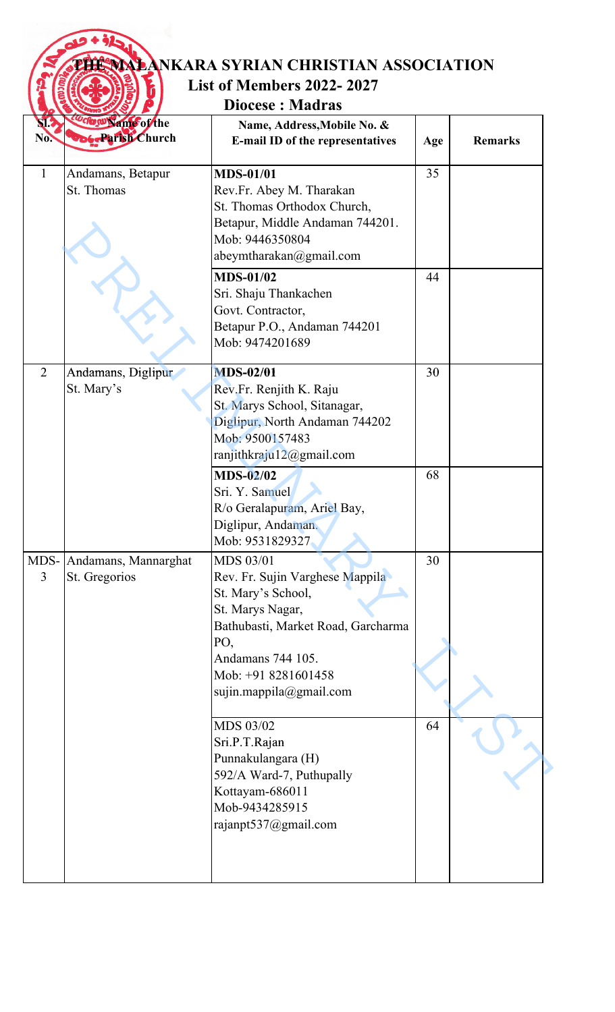| <b>List of Members 2022-2027</b><br><b>Diocese: Madras</b> |                                                |                                                                                                                                                                                                                   |     |                |
|------------------------------------------------------------|------------------------------------------------|-------------------------------------------------------------------------------------------------------------------------------------------------------------------------------------------------------------------|-----|----------------|
| NI.<br>No.                                                 | Coco w Name of the<br><b>DoG-Parish Church</b> | Name, Address, Mobile No. &<br>E-mail ID of the representatives                                                                                                                                                   | Age | <b>Remarks</b> |
| 1                                                          | Andamans, Betapur<br>St. Thomas                | <b>MDS-01/01</b><br>Rev.Fr. Abey M. Tharakan<br>St. Thomas Orthodox Church,<br>Betapur, Middle Andaman 744201.<br>Mob: 9446350804<br>abeymtharakan@gmail.com                                                      | 35  |                |
|                                                            |                                                | <b>MDS-01/02</b><br>Sri. Shaju Thankachen<br>Govt. Contractor,<br>Betapur P.O., Andaman 744201<br>Mob: 9474201689                                                                                                 | 44  |                |
| $\overline{2}$                                             | Andamans, Diglipur<br>St. Mary's               | <b>MDS-02/01</b><br>Rev.Fr. Renjith K. Raju<br>St. Marys School, Sitanagar,<br>Diglipur, North Andaman 744202<br>Mob: 9500157483<br>ranjithkraju12@gmail.com                                                      | 30  |                |
|                                                            |                                                | <b>MDS-02/02</b><br>Sri. Y. Samuel<br>R/o Geralapuram, Ariel Bay,<br>Diglipur, Andaman.<br>Mob: 9531829327                                                                                                        | 68  |                |
| MDS-<br>$\overline{3}$                                     | Andamans, Mannarghat<br>St. Gregorios          | <b>MDS 03/01</b><br>Rev. Fr. Sujin Varghese Mappila<br>St. Mary's School,<br>St. Marys Nagar,<br>Bathubasti, Market Road, Garcharma<br>PO,<br>Andamans 744 105.<br>Mob: +91 8281601458<br>sujin.mappila@gmail.com | 30  |                |
|                                                            |                                                | MDS 03/02<br>Sri.P.T.Rajan<br>Punnakulangara (H)<br>592/A Ward-7, Puthupally<br>Kottayam-686011<br>Mob-9434285915<br>rajanpt537@gmail.com                                                                         | 64  |                |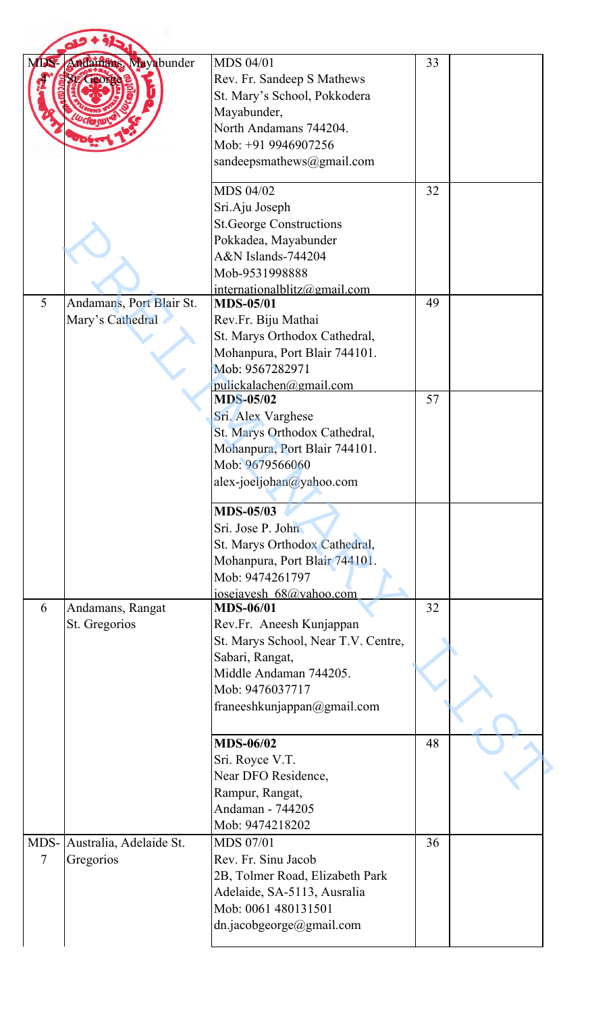| <b>MDS-</b> | Andamans, Mayabunder                         | <b>MDS 04/01</b><br>Rev. Fr. Sandeep S Mathews<br>St. Mary's School, Pokkodera<br>Mayabunder,<br>North Andamans 744204.<br>Mob: +91 9946907256<br>sandeepsmathews@gmail.com        | 33 |  |
|-------------|----------------------------------------------|------------------------------------------------------------------------------------------------------------------------------------------------------------------------------------|----|--|
|             |                                              | MDS 04/02<br>Sri.Aju Joseph<br><b>St.George Constructions</b><br>Pokkadea, Mayabunder<br>A&N Islands-744204<br>Mob-9531998888<br>intermationalblitz@gmail.com                      | 32 |  |
| 5           | Andamans, Port Blair St.<br>Mary's Cathedral | <b>MDS-05/01</b><br>Rev.Fr. Biju Mathai<br>St. Marys Orthodox Cathedral,<br>Mohanpura, Port Blair 744101.<br>Mob: 9567282971<br>pulickalachen@gmail.com                            | 49 |  |
|             |                                              | <b>MDS-05/02</b><br>Sri. Alex Varghese<br>St. Marys Orthodox Cathedral,<br>Mohanpura, Port Blair 744101.<br>Mob: 9679566060<br>alex-joeljohan@yahoo.com                            | 57 |  |
|             |                                              | <b>MDS-05/03</b><br>Sri. Jose P. John<br>St. Marys Orthodox Cathedral,<br>Mohanpura, Port Blair 744101.<br>Mob: 9474261797<br>josejayesh 68@yahoo.com                              |    |  |
| 6           | Andamans, Rangat<br>St. Gregorios            | <b>MDS-06/01</b><br>Rev.Fr. Aneesh Kunjappan<br>St. Marys School, Near T.V. Centre,<br>Sabari, Rangat,<br>Middle Andaman 744205.<br>Mob: 9476037717<br>franeeshkunjappan@gmail.com | 32 |  |
|             |                                              | <b>MDS-06/02</b><br>Sri. Royce V.T.<br>Near DFO Residence,<br>Rampur, Rangat,<br>Andaman - 744205<br>Mob: 9474218202                                                               | 48 |  |
| 7           | MDS- Australia, Adelaide St.<br>Gregorios    | <b>MDS 07/01</b><br>Rev. Fr. Sinu Jacob<br>2B, Tolmer Road, Elizabeth Park<br>Adelaide, SA-5113, Ausralia<br>Mob: 0061 480131501<br>dn.jacobgeorge@gmail.com                       | 36 |  |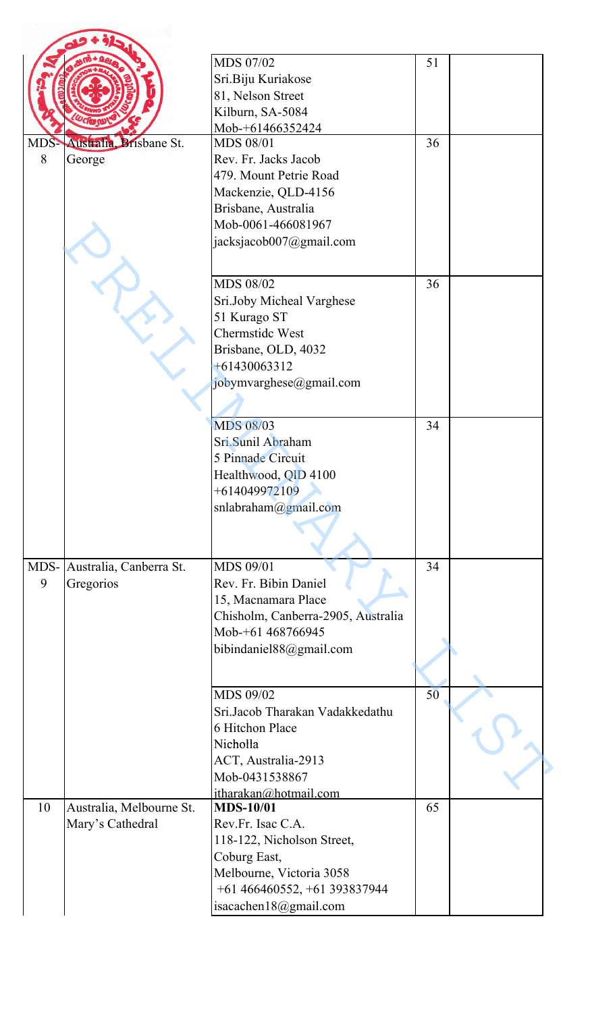|      |                             | MDS 07/02                          | 51 |  |
|------|-----------------------------|------------------------------------|----|--|
|      |                             | Sri.Biju Kuriakose                 |    |  |
|      |                             | 81, Nelson Street                  |    |  |
|      |                             | Kilburn, SA-5084                   |    |  |
|      |                             | Mob-+61466352424                   |    |  |
|      | MDS-Australia, Brisbane St. | <b>MDS 08/01</b>                   | 36 |  |
| 8    | George                      | Rev. Fr. Jacks Jacob               |    |  |
|      |                             | 479. Mount Petrie Road             |    |  |
|      |                             | Mackenzie, QLD-4156                |    |  |
|      |                             | Brisbane, Australia                |    |  |
|      |                             | Mob-0061-466081967                 |    |  |
|      |                             | jacksjacob007@gmail.com            |    |  |
|      |                             |                                    |    |  |
|      |                             | <b>MDS 08/02</b>                   | 36 |  |
|      |                             | Sri.Joby Micheal Varghese          |    |  |
|      |                             | 51 Kurago ST                       |    |  |
|      |                             | Chermstide West                    |    |  |
|      |                             | Brisbane, OLD, 4032                |    |  |
|      |                             | $+61430063312$                     |    |  |
|      |                             | jobymvarghese@gmail.com            |    |  |
|      |                             |                                    |    |  |
|      |                             | <b>MDS 08/03</b>                   | 34 |  |
|      |                             | Sri.Sunil Abraham                  |    |  |
|      |                             | 5 Pinnade Circuit                  |    |  |
|      |                             | Healthwood, QID 4100               |    |  |
|      |                             | $+614049972109$                    |    |  |
|      |                             | snlabraham@gmail.com               |    |  |
|      |                             |                                    |    |  |
|      |                             |                                    |    |  |
| MDS- | Australia, Canberra St.     | <b>MDS 09/01</b>                   | 34 |  |
| 9    | Gregorios                   | Rev. Fr. Bibin Daniel              |    |  |
|      |                             | 15, Macnamara Place                |    |  |
|      |                             | Chisholm, Canberra-2905, Australia |    |  |
|      |                             | Mob-+61 468766945                  |    |  |
|      |                             | bibindaniel88@gmail.com            |    |  |
|      |                             |                                    |    |  |
|      |                             | MDS 09/02                          | 50 |  |
|      |                             | Sri.Jacob Tharakan Vadakkedathu    |    |  |
|      |                             | 6 Hitchon Place                    |    |  |
|      |                             | Nicholla                           |    |  |
|      |                             | ACT, Australia-2913                |    |  |
|      |                             | Mob-0431538867                     |    |  |
|      |                             | itharakan@hotmail.com              |    |  |
| 10   | Australia, Melbourne St.    | <b>MDS-10/01</b>                   | 65 |  |
|      | Mary's Cathedral            | Rev.Fr. Isac C.A.                  |    |  |
|      |                             | 118-122, Nicholson Street,         |    |  |
|      |                             | Coburg East,                       |    |  |
|      |                             | Melbourne, Victoria 3058           |    |  |
|      |                             | +61 466460552, +61 393837944       |    |  |
|      |                             | isacachen18@gmail.com              |    |  |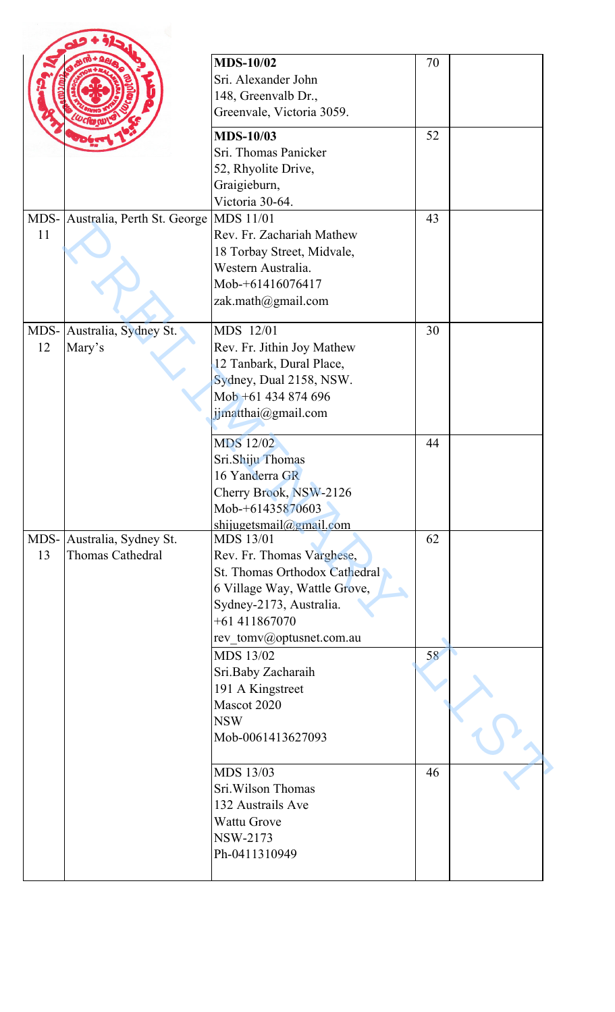|            |                                                | <b>MDS-10/02</b><br>Sri. Alexander John<br>148, Greenvalb Dr.,<br>Greenvale, Victoria 3059.                                                                                             | 70 |  |
|------------|------------------------------------------------|-----------------------------------------------------------------------------------------------------------------------------------------------------------------------------------------|----|--|
|            |                                                | <b>MDS-10/03</b><br>Sri. Thomas Panicker<br>52, Rhyolite Drive,<br>Graigieburn,<br>Victoria 30-64.                                                                                      | 52 |  |
| 11         | MDS- Australia, Perth St. George               | <b>MDS</b> 11/01<br>Rev. Fr. Zachariah Mathew<br>18 Torbay Street, Midvale,<br>Western Australia.<br>Mob-+61416076417<br>zak.math@gmail.com                                             | 43 |  |
| MDS-<br>12 | Australia, Sydney St.<br>Mary's                | MDS 12/01<br>Rev. Fr. Jithin Joy Mathew<br>12 Tanbark, Dural Place,<br>Sydney, Dual 2158, NSW.<br>Mob +61 434 874 696<br>jimatthai@gmail.com                                            | 30 |  |
|            |                                                | <b>MDS 12/02</b><br>Sri.Shiju Thomas<br>16 Yanderra GR<br>Cherry Brook, NSW-2126<br>Mob-+61435870603<br>shijugetsmail@gmail.com                                                         | 44 |  |
| 13         | MDS- Australia, Sydney St.<br>Thomas Cathedral | <b>MDS 13/01</b><br>Rev. Fr. Thomas Varghese,<br>St. Thomas Orthodox Cathedral<br>6 Village Way, Wattle Grove,<br>Sydney-2173, Australia.<br>$+61411867070$<br>rev_tomv@optusnet.com.au | 62 |  |
|            |                                                | MDS 13/02<br>Sri.Baby Zacharaih<br>191 A Kingstreet<br>Mascot 2020<br><b>NSW</b><br>Mob-0061413627093                                                                                   | 58 |  |
|            |                                                | MDS 13/03<br>Sri. Wilson Thomas<br>132 Austrails Ave<br><b>Wattu Grove</b><br>NSW-2173<br>Ph-0411310949                                                                                 | 46 |  |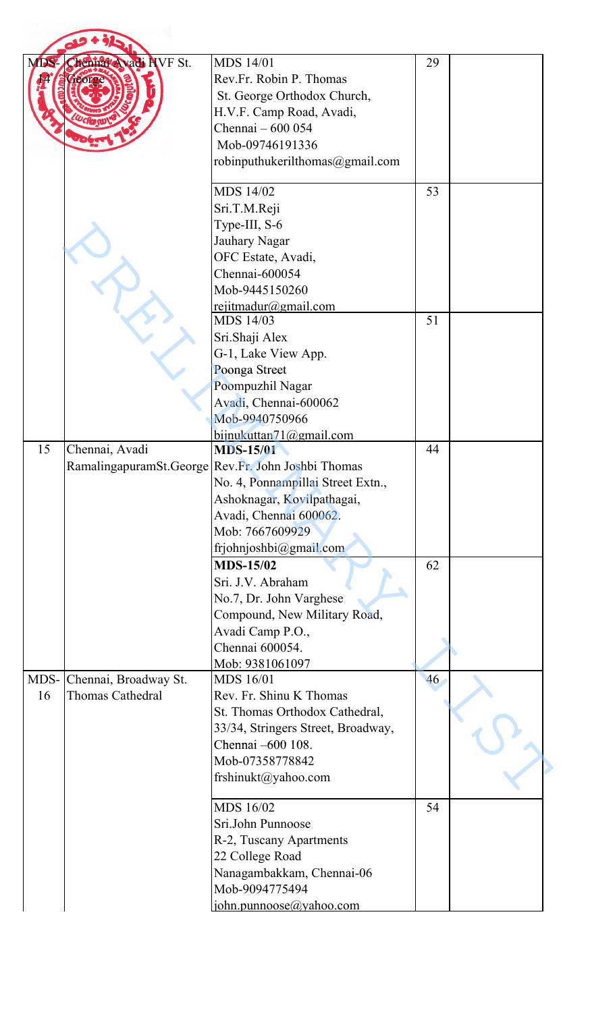| MDS- | Chennal Avadi NVF St. | <b>MDS</b> 14/01                                   | 29 |  |
|------|-----------------------|----------------------------------------------------|----|--|
|      |                       | Rev.Fr. Robin P. Thomas                            |    |  |
|      |                       | St. George Orthodox Church,                        |    |  |
|      |                       | H.V.F. Camp Road, Avadi,                           |    |  |
|      |                       | Chennai - 600 054                                  |    |  |
|      |                       | Mob-09746191336                                    |    |  |
|      |                       |                                                    |    |  |
|      |                       | robinputhukerilthomas@gmail.com                    |    |  |
|      |                       | MDS 14/02                                          | 53 |  |
|      |                       | Sri.T.M.Reji                                       |    |  |
|      |                       | Type-III, S-6                                      |    |  |
|      |                       | Jauhary Nagar                                      |    |  |
|      |                       | OFC Estate, Avadi,                                 |    |  |
|      |                       | Chennai-600054                                     |    |  |
|      |                       | Mob-9445150260                                     |    |  |
|      |                       | rejitmadur@gmail.com                               |    |  |
|      |                       | MDS 14/03                                          | 51 |  |
|      |                       | Sri.Shaji Alex                                     |    |  |
|      |                       | G-1, Lake View App.                                |    |  |
|      |                       | Poonga Street                                      |    |  |
|      |                       | Poompuzhil Nagar                                   |    |  |
|      |                       | Avadi, Chennai-600062                              |    |  |
|      |                       | Mob-9940750966                                     |    |  |
|      |                       | bijnukuttan $71$ @gmail.com                        |    |  |
| 15   | Chennai, Avadi        | <b>MDS-15/01</b>                                   | 44 |  |
|      |                       | RamalingapuramSt.George Rev.Fr. John Joshbi Thomas |    |  |
|      |                       | No. 4, Ponnampillai Street Extn.,                  |    |  |
|      |                       | Ashoknagar, Kovilpathagai,                         |    |  |
|      |                       | Avadi, Chennai 600062.                             |    |  |
|      |                       | Mob: 7667609929                                    |    |  |
|      |                       | frjohnjoshbi@gmail.com                             |    |  |
|      |                       | <b>MDS-15/02</b>                                   | 62 |  |
|      |                       | Sri. J.V. Abraham                                  |    |  |
|      |                       | No.7, Dr. John Varghese                            |    |  |
|      |                       | Compound, New Military Road,                       |    |  |
|      |                       | Avadi Camp P.O.,                                   |    |  |
|      |                       | Chennai 600054.                                    |    |  |
|      |                       | Mob: 9381061097                                    |    |  |
| MDS- | Chennai, Broadway St. | MDS 16/01                                          | 46 |  |
| 16   | Thomas Cathedral      | Rev. Fr. Shinu K Thomas                            |    |  |
|      |                       | St. Thomas Orthodox Cathedral,                     |    |  |
|      |                       | 33/34, Stringers Street, Broadway,                 |    |  |
|      |                       | Chennai -600 108.                                  |    |  |
|      |                       | Mob-07358778842                                    |    |  |
|      |                       |                                                    |    |  |
|      |                       | frshinukt@yahoo.com                                |    |  |
|      |                       | MDS 16/02                                          | 54 |  |
|      |                       | Sri.John Punnoose                                  |    |  |
|      |                       | R-2, Tuscany Apartments                            |    |  |
|      |                       | 22 College Road                                    |    |  |
|      |                       | Nanagambakkam, Chennai-06                          |    |  |
|      |                       | Mob-9094775494                                     |    |  |
|      |                       | john.punnoose@yahoo.com                            |    |  |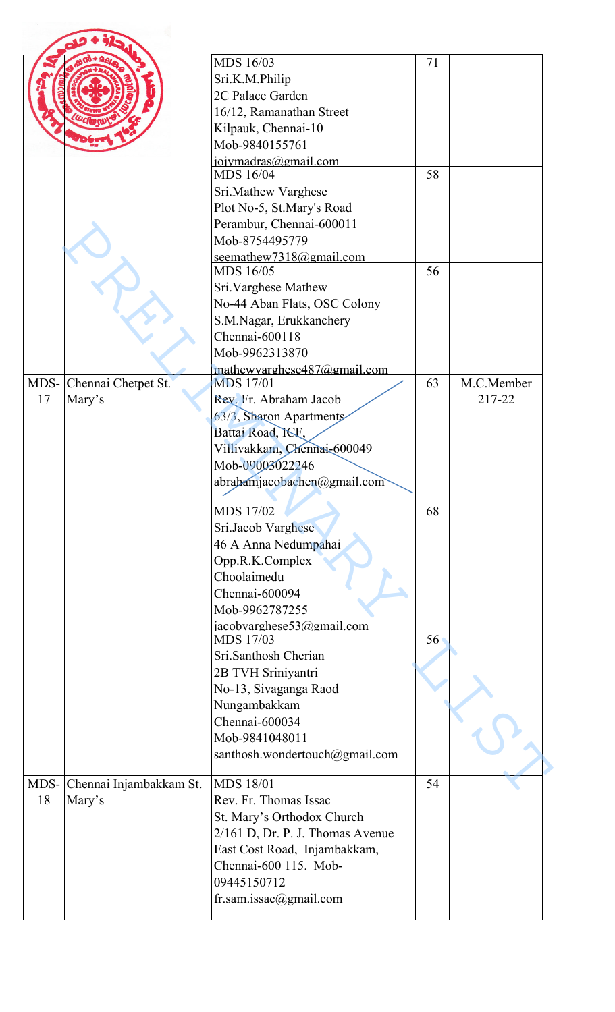|    |                              | MDS 16/03                         | 71 |            |
|----|------------------------------|-----------------------------------|----|------------|
|    |                              |                                   |    |            |
|    |                              | Sri.K.M.Philip                    |    |            |
|    |                              | 2C Palace Garden                  |    |            |
|    |                              | 16/12, Ramanathan Street          |    |            |
|    |                              | Kilpauk, Chennai-10               |    |            |
|    |                              | Mob-9840155761                    |    |            |
|    |                              | jojymadras@gmail.com<br>MDS 16/04 | 58 |            |
|    |                              | Sri.Mathew Varghese               |    |            |
|    |                              | Plot No-5, St.Mary's Road         |    |            |
|    |                              | Perambur, Chennai-600011          |    |            |
|    |                              | Mob-8754495779                    |    |            |
|    |                              | seemathew7318@gmail.com           |    |            |
|    |                              | MDS 16/05                         | 56 |            |
|    |                              |                                   |    |            |
|    |                              | Sri. Varghese Mathew              |    |            |
|    |                              | No-44 Aban Flats, OSC Colony      |    |            |
|    |                              | S.M.Nagar, Erukkanchery           |    |            |
|    |                              | Chennai-600118                    |    |            |
|    |                              | Mob-9962313870                    |    |            |
|    |                              | mathewyarghese487@gmail.com       |    |            |
|    | MDS- Chennai Chetpet St.     | <b>MDS</b> 17/01                  | 63 | M.C.Member |
| 17 | Mary's                       | Rev. Fr. Abraham Jacob            |    | 217-22     |
|    |                              | 63/3, Sharon Apartments           |    |            |
|    |                              | Battai Road, ISE,                 |    |            |
|    |                              | Villivakkam, Chennai-600049       |    |            |
|    |                              | Mob-09003022246                   |    |            |
|    |                              | abrahamjacobachen@gmail.com       |    |            |
|    |                              | MDS 17/02                         | 68 |            |
|    |                              | Sri.Jacob Varghese                |    |            |
|    |                              |                                   |    |            |
|    |                              | 46 A Anna Nedumpahai              |    |            |
|    |                              | Opp.R.K.Complex                   |    |            |
|    |                              | Choolaimedu                       |    |            |
|    |                              | Chennai-600094                    |    |            |
|    |                              | Mob-9962787255                    |    |            |
|    |                              | iacobvarghese53@gmail.com         |    |            |
|    |                              | MDS 17/03                         | 56 |            |
|    |                              | Sri.Santhosh Cherian              |    |            |
|    |                              | 2B TVH Sriniyantri                |    |            |
|    |                              | No-13, Sivaganga Raod             |    |            |
|    |                              | Nungambakkam                      |    |            |
|    |                              | Chennai-600034                    |    |            |
|    |                              | Mob-9841048011                    |    |            |
|    |                              | santhosh.wondertouch@gmail.com    |    |            |
|    |                              |                                   |    |            |
|    | MDS- Chennai Injambakkam St. | <b>MDS 18/01</b>                  | 54 |            |
| 18 | Mary's                       | Rev. Fr. Thomas Issac             |    |            |
|    |                              | St. Mary's Orthodox Church        |    |            |
|    |                              | 2/161 D, Dr. P. J. Thomas Avenue  |    |            |
|    |                              | East Cost Road, Injambakkam,      |    |            |
|    |                              | Chennai-600 115. Mob-             |    |            |
|    |                              | 09445150712                       |    |            |
|    |                              | fr.sam.issac@gmail.com            |    |            |
|    |                              |                                   |    |            |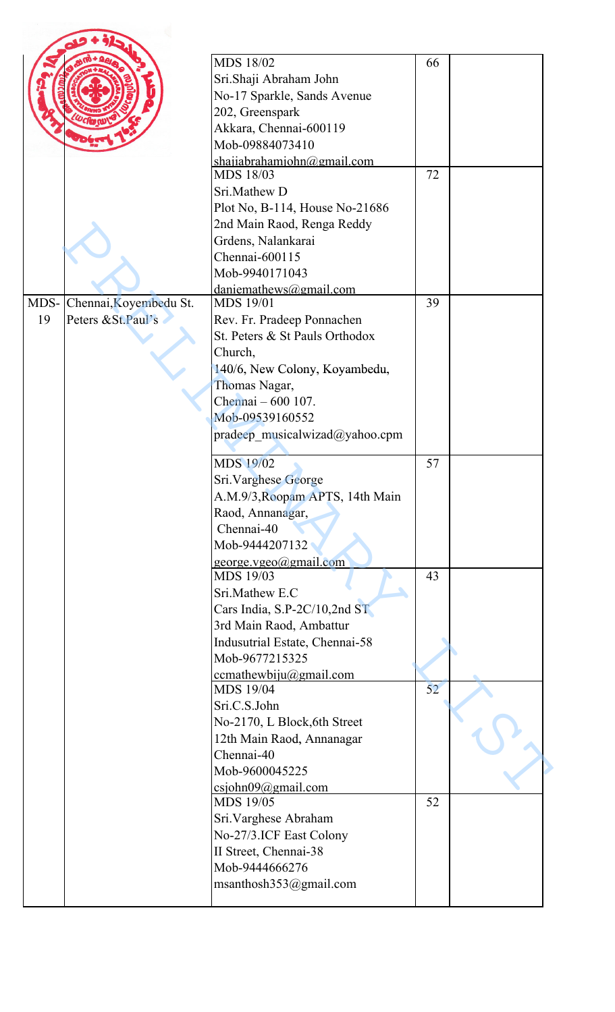|    |                             | <b>MDS 18/02</b>                        | 66 |  |
|----|-----------------------------|-----------------------------------------|----|--|
|    |                             | Sri.Shaji Abraham John                  |    |  |
|    |                             | No-17 Sparkle, Sands Avenue             |    |  |
|    |                             | 202, Greenspark                         |    |  |
|    |                             | Akkara, Chennai-600119                  |    |  |
|    |                             | Mob-09884073410                         |    |  |
|    |                             | shajiabrahamjohn@gmail.com              |    |  |
|    |                             | MDS 18/03                               | 72 |  |
|    |                             | Sri.Mathew D                            |    |  |
|    |                             | Plot No, B-114, House No-21686          |    |  |
|    |                             | 2nd Main Raod, Renga Reddy              |    |  |
|    |                             | Grdens, Nalankarai                      |    |  |
|    |                             | Chennai-600115                          |    |  |
|    |                             | Mob-9940171043                          |    |  |
|    |                             | $dani$ emathews@gmail.com               |    |  |
|    | MDS- Chennai, Koyembedu St. | <b>MDS 19/01</b>                        | 39 |  |
| 19 | Peters & St. Paul's         | Rev. Fr. Pradeep Ponnachen              |    |  |
|    |                             | St. Peters & St Pauls Orthodox          |    |  |
|    |                             | Church,                                 |    |  |
|    |                             | 140/6, New Colony, Koyambedu,           |    |  |
|    |                             | Thomas Nagar,                           |    |  |
|    |                             | Chennai - 600 107.                      |    |  |
|    |                             | Mob-09539160552                         |    |  |
|    |                             | pradeep musicalwizad@yahoo.cpm          |    |  |
|    |                             | <b>MDS 19/02</b>                        | 57 |  |
|    |                             | Sri. Varghese George                    |    |  |
|    |                             | A.M.9/3, Roopam APTS, 14th Main         |    |  |
|    |                             | Raod, Annanagar,                        |    |  |
|    |                             | Chennai-40                              |    |  |
|    |                             | Mob-9444207132                          |    |  |
|    |                             | george.vgeo@gmail.com                   |    |  |
|    |                             | MDS 19/03                               | 43 |  |
|    |                             | Sri.Mathew E.C                          |    |  |
|    |                             | Cars India, S.P-2C/10,2nd ST            |    |  |
|    |                             | 3rd Main Raod, Ambattur                 |    |  |
|    |                             | Indusutrial Estate, Chennai-58          |    |  |
|    |                             | Mob-9677215325                          |    |  |
|    |                             | $ccmath$ wbiju $(a)$ gmail.com          |    |  |
|    |                             | <b>MDS 19/04</b>                        | 52 |  |
|    |                             | Sri.C.S.John                            |    |  |
|    |                             | No-2170, L Block, 6th Street            |    |  |
|    |                             | 12th Main Raod, Annanagar               |    |  |
|    |                             | Chennai-40                              |    |  |
|    |                             | Mob-9600045225                          |    |  |
|    |                             | csjohn09@gmail.com                      |    |  |
|    |                             | MDS 19/05                               | 52 |  |
|    |                             | Sri. Varghese Abraham                   |    |  |
|    |                             | No-27/3.ICF East Colony                 |    |  |
|    |                             | II Street, Chennai-38<br>Mob-9444666276 |    |  |
|    |                             |                                         |    |  |
|    |                             | msanthosh353@gmail.com                  |    |  |
|    |                             |                                         |    |  |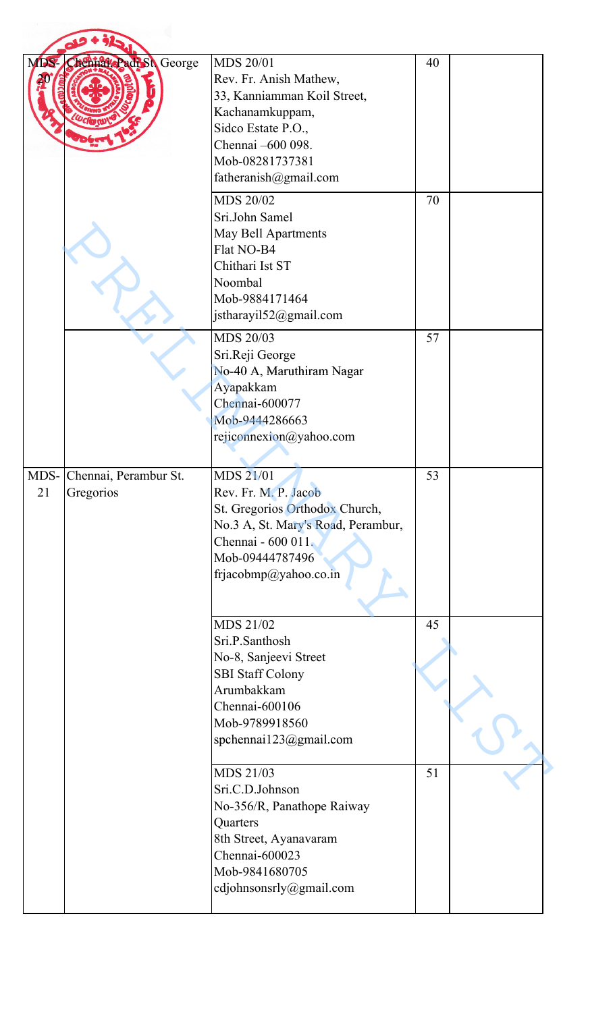| MDS. | Chenna Padi Sh George                   | <b>MDS 20/01</b><br>Rev. Fr. Anish Mathew,<br>33, Kanniamman Koil Street,<br>Kachanamkuppam,<br>Sidco Estate P.O.,<br>Chennai -600 098.<br>Mob-08281737381<br>fatheranish@gmail.com<br>MDS 20/02<br>Sri.John Samel<br>May Bell Apartments<br>Flat NO-B4<br>Chithari Ist ST<br>Noombal | 40<br>70 |  |
|------|-----------------------------------------|---------------------------------------------------------------------------------------------------------------------------------------------------------------------------------------------------------------------------------------------------------------------------------------|----------|--|
|      |                                         | Mob-9884171464<br>jstharayil52@gmail.com<br>MDS 20/03                                                                                                                                                                                                                                 | 57       |  |
|      |                                         | Sri.Reji George<br>No-40 A, Maruthiram Nagar<br>Ayapakkam<br>Chennai-600077<br>Mob-9444286663<br>rejiconnexion@yahoo.com                                                                                                                                                              |          |  |
| 21   | MDS- Chennai, Perambur St.<br>Gregorios | MDS 21/01<br>Rev. Fr. M. P. Jacob<br>St. Gregorios Orthodox Church,<br>No.3 A, St. Mary's Road, Perambur,<br>Chennai - 600 011.<br>Mob-09444787496<br>frjacobmp@yahoo.co.in                                                                                                           | 53       |  |
|      |                                         | MDS 21/02<br>Sri.P.Santhosh<br>No-8, Sanjeevi Street<br><b>SBI Staff Colony</b><br>Arumbakkam<br>Chennai-600106<br>Mob-9789918560<br>spchennai123@gmail.com                                                                                                                           | 45       |  |
|      |                                         | MDS 21/03<br>Sri.C.D.Johnson<br>No-356/R, Panathope Raiway<br>Quarters<br>8th Street, Ayanavaram<br>Chennai-600023<br>Mob-9841680705<br>cdjohnsonsrly@gmail.com                                                                                                                       | 51       |  |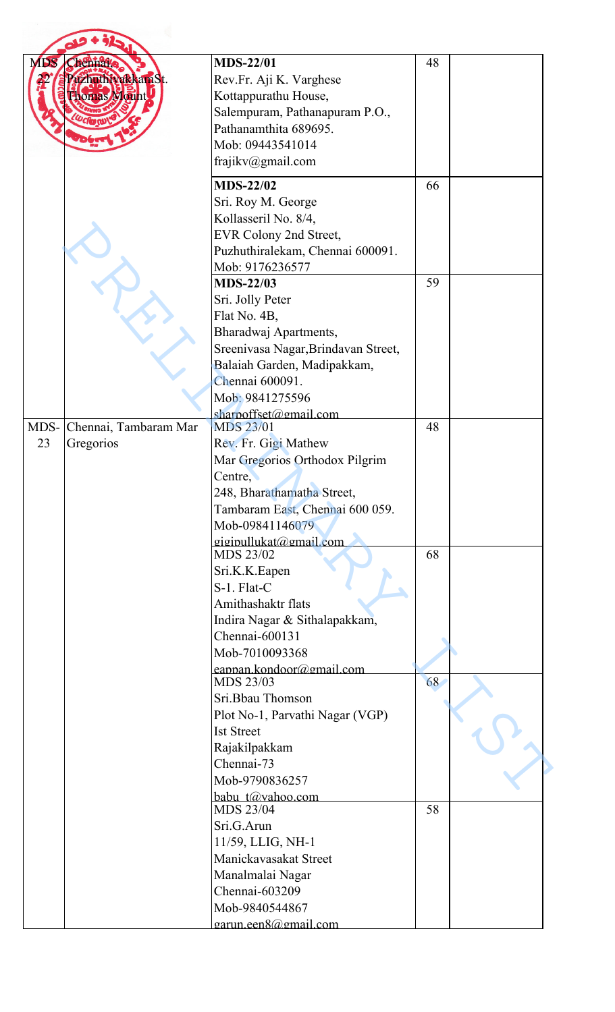| M <sub>DS</sub>            | <b>MDS-22/01</b>                           | 48 |
|----------------------------|--------------------------------------------|----|
| tienna.<br>zhuthivakkamSt. | Rev.Fr. Aji K. Varghese                    |    |
| orras Mount                | Kottappurathu House,                       |    |
|                            | Salempuram, Pathanapuram P.O.,             |    |
|                            | Pathanamthita 689695.                      |    |
|                            | Mob: 09443541014                           |    |
|                            |                                            |    |
|                            | frajikv@gmail.com                          |    |
|                            | <b>MDS-22/02</b>                           | 66 |
|                            | Sri. Roy M. George                         |    |
|                            | Kollasseril No. 8/4,                       |    |
|                            | EVR Colony 2nd Street,                     |    |
|                            | Puzhuthiralekam, Chennai 600091.           |    |
|                            | Mob: 9176236577                            |    |
|                            | <b>MDS-22/03</b>                           | 59 |
|                            | Sri. Jolly Peter                           |    |
|                            | Flat No. 4B,                               |    |
|                            | Bharadwaj Apartments,                      |    |
|                            | Sreenivasa Nagar, Brindavan Street,        |    |
|                            | Balaiah Garden, Madipakkam,                |    |
|                            | Chennai 600091.                            |    |
|                            | Mob: 9841275596                            |    |
|                            | sharpoffset@gmail.com                      |    |
| MDS- Chennai, Tambaram Mar | <b>MDS 23/01</b>                           | 48 |
| 23<br>Gregorios            | Rev. Fr. Gigi Mathew                       |    |
|                            | Mar Gregorios Orthodox Pilgrim             |    |
|                            | Centre,                                    |    |
|                            | 248, Bharathamatha Street,                 |    |
|                            | Tambaram East, Chennai 600 059.            |    |
|                            | Mob-09841146079                            |    |
|                            | giginullukat@gmail.com                     |    |
|                            | MDS 23/02                                  | 68 |
|                            | Sri.K.K.Eapen                              |    |
|                            | S-1. Flat-C                                |    |
|                            | Amithashaktr flats                         |    |
|                            | Indira Nagar & Sithalapakkam,              |    |
|                            | Chennai-600131                             |    |
|                            | Mob-7010093368                             |    |
|                            | eappan.kondoor@gmail.com                   |    |
|                            | MDS 23/03                                  | 68 |
|                            | Sri.Bbau Thomson                           |    |
|                            | Plot No-1, Parvathi Nagar (VGP)            |    |
|                            | <b>Ist Street</b>                          |    |
|                            | Rajakilpakkam                              |    |
|                            | Chennai-73                                 |    |
|                            | Mob-9790836257                             |    |
|                            | babu t@vahoo.com<br>MDS 23/04              | 58 |
|                            | Sri.G.Arun                                 |    |
|                            |                                            |    |
|                            | 11/59, LLIG, NH-1<br>Manickavasakat Street |    |
|                            |                                            |    |
|                            | Manalmalai Nagar                           |    |
|                            | Chennai-603209                             |    |
|                            | Mob-9840544867                             |    |
|                            | garun.een8@gmail.com                       |    |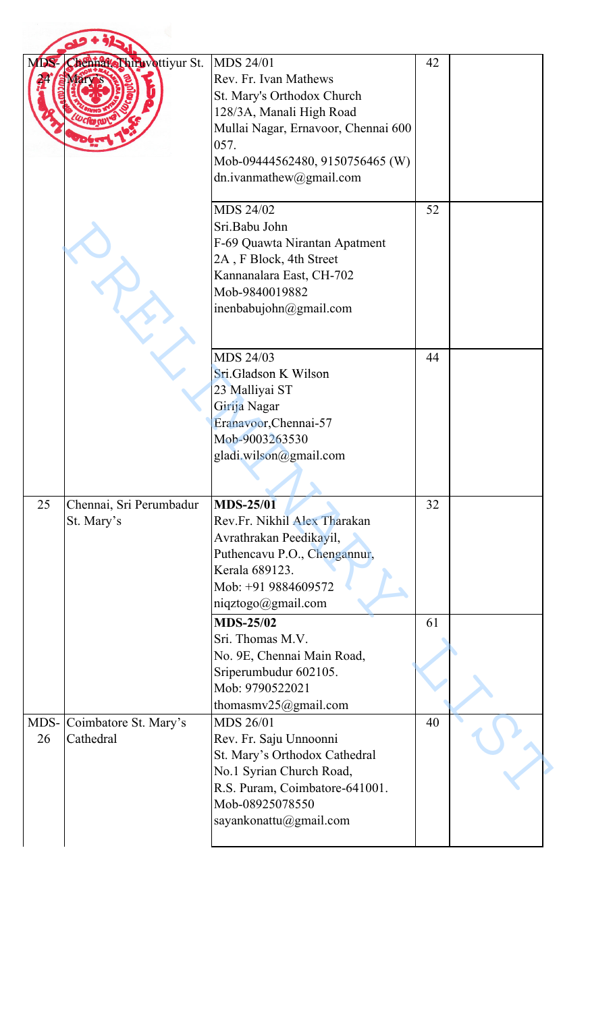| MDS-       | Chenna Shiruvottiyur St.              | MDS 24/01<br>Rev. Fr. Ivan Mathews<br>St. Mary's Orthodox Church<br>128/3A, Manali High Road<br>Mullai Nagar, Ernavoor, Chennai 600<br>057.<br>Mob-09444562480, 9150756465 (W)<br>dn.ivanmathew@gmail.com | 42 |  |
|------------|---------------------------------------|-----------------------------------------------------------------------------------------------------------------------------------------------------------------------------------------------------------|----|--|
|            |                                       | MDS 24/02<br>Sri.Babu John<br>F-69 Quawta Nirantan Apatment<br>2A, F Block, 4th Street<br>Kannanalara East, CH-702<br>Mob-9840019882<br>inenbabujohn@gmail.com                                            | 52 |  |
|            |                                       | MDS 24/03<br>Sri.Gladson K Wilson<br>23 Malliyai ST<br>Girija Nagar<br>Eranavoor, Chennai-57<br>Mob-9003263530<br>gladi.wilson@gmail.com                                                                  | 44 |  |
| 25         | Chennai, Sri Perumbadur<br>St. Mary's | <b>MDS-25/01</b><br>Rev.Fr. Nikhil Alex Tharakan<br>Avrathrakan Peedikayil,<br>Puthencavu P.O., Chengannur,<br>Kerala 689123.<br>Mob: +91 9884609572<br>niqztogo@gmail.com                                | 32 |  |
|            |                                       | <b>MDS-25/02</b><br>Sri. Thomas M.V.<br>No. 9E, Chennai Main Road,<br>Sriperumbudur 602105.<br>Mob: 9790522021<br>thomasmv $25$ @gmail.com                                                                | 61 |  |
| MDS-<br>26 | Coimbatore St. Mary's<br>Cathedral    | MDS 26/01<br>Rev. Fr. Saju Unnoonni<br>St. Mary's Orthodox Cathedral<br>No.1 Syrian Church Road,<br>R.S. Puram, Coimbatore-641001.<br>Mob-08925078550<br>sayankonattu@gmail.com                           | 40 |  |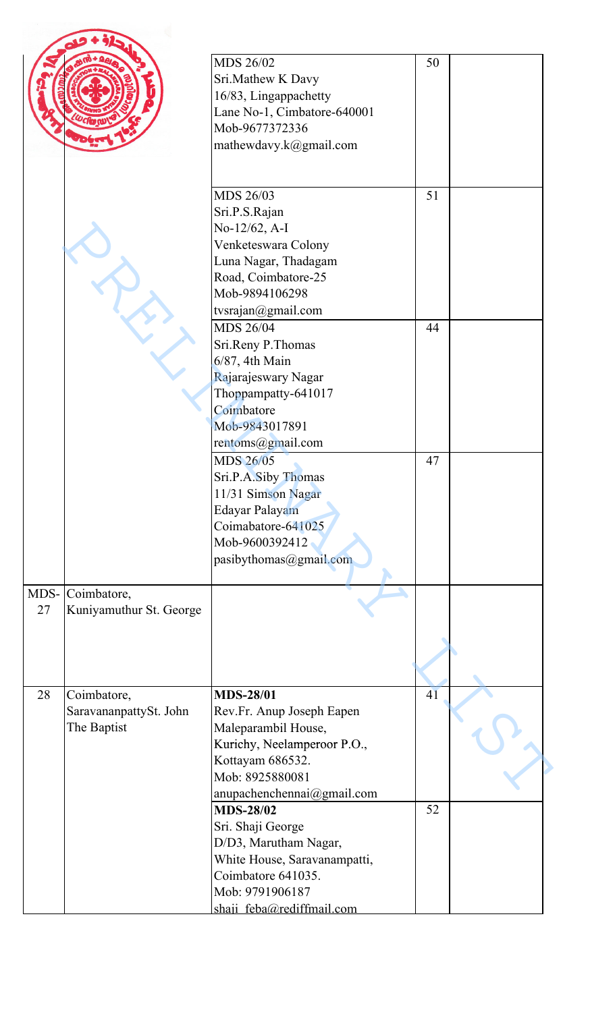|    |                                                      | MDS 26/02<br>Sri.Mathew K Davy<br>16/83, Lingappachetty<br>Lane No-1, Cimbatore-640001<br>Mob-9677372336<br>mathewdavy.k@gmail.com                                                           | 50       |  |
|----|------------------------------------------------------|----------------------------------------------------------------------------------------------------------------------------------------------------------------------------------------------|----------|--|
|    |                                                      | MDS 26/03<br>Sri.P.S.Rajan<br>No-12/62, A-I<br>Venketeswara Colony<br>Luna Nagar, Thadagam<br>Road, Coimbatore-25<br>Mob-9894106298                                                          | 51       |  |
|    |                                                      | tvsrajan@gmail.com<br><b>MDS 26/04</b><br>Sri.Reny P.Thomas<br>6/87, 4th Main<br>Rajarajeswary Nagar<br>Thoppampatty-641017<br>Coimbatore<br>Mob-9843017891<br>rentoms@gmail.com             | 44       |  |
|    |                                                      | MDS 26/05<br>Sri.P.A.Siby Thomas<br>11/31 Simson Nagar<br>Edayar Palayam<br>Coimabatore-641025<br>Mob-9600392412<br>pasibythomas@gmail.com                                                   | 47       |  |
| 27 | MDS- Coimbatore,<br>Kuniyamuthur St. George          |                                                                                                                                                                                              |          |  |
| 28 | Coimbatore,<br>SaravananpattySt. John<br>The Baptist | <b>MDS-28/01</b><br>Rev.Fr. Anup Joseph Eapen<br>Maleparambil House,<br>Kurichy, Neelamperoor P.O.,<br>Kottayam 686532.<br>Mob: 8925880081<br>anupachenchennai@gmail.com<br><b>MDS-28/02</b> | 41<br>52 |  |
|    |                                                      | Sri. Shaji George<br>D/D3, Marutham Nagar,<br>White House, Saravanampatti,<br>Coimbatore 641035.<br>Mob: 9791906187<br>shaii feba@rediffmail.com                                             |          |  |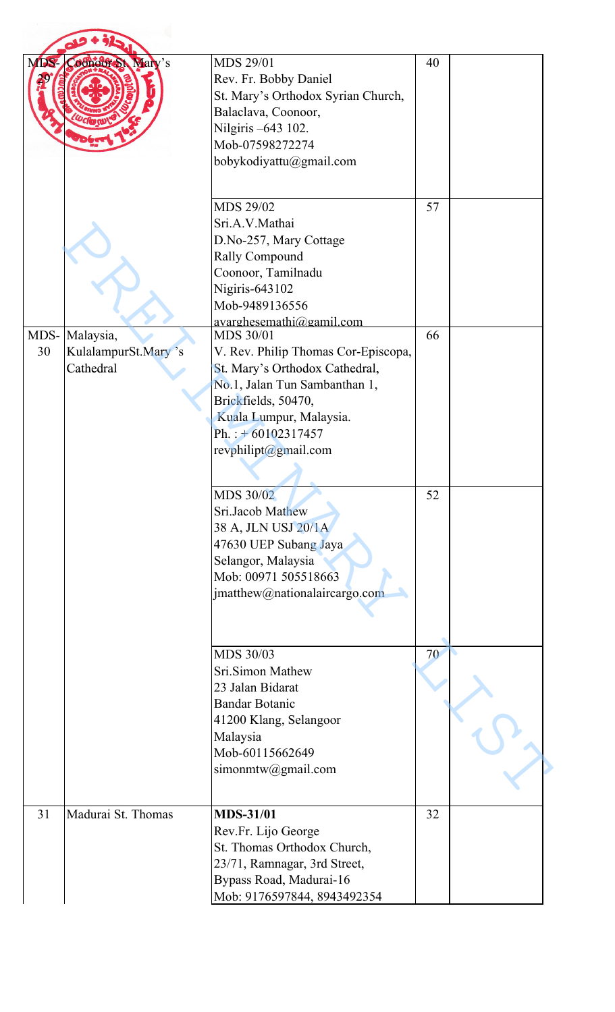| MDS- | <b>Coonoof St Mary's</b>         | <b>MDS 29/01</b><br>Rev. Fr. Bobby Daniel<br>St. Mary's Orthodox Syrian Church,<br>Balaclava, Coonoor,<br>Nilgiris -643 102.<br>Mob-07598272274<br>bobykodiyattu@gmail.com                                                                                                               | 40 |  |
|------|----------------------------------|------------------------------------------------------------------------------------------------------------------------------------------------------------------------------------------------------------------------------------------------------------------------------------------|----|--|
|      |                                  | MDS 29/02<br>Sri.A.V.Mathai<br>D.No-257, Mary Cottage<br>Rally Compound<br>Coonoor, Tamilnadu<br>Nigiris-643102<br>Mob-9489136556<br>avarghesemathi@gamil.com                                                                                                                            | 57 |  |
|      | MDS- Malaysia,                   | <b>MDS 30/01</b>                                                                                                                                                                                                                                                                         | 66 |  |
| 30   | KulalampurSt.Mary's<br>Cathedral | V. Rev. Philip Thomas Cor-Episcopa,<br>St. Mary's Orthodox Cathedral,<br>No.1, Jalan Tun Sambanthan 1,<br>Brickfields, 50470,<br>Kuala Lumpur, Malaysia.<br>Ph.: $+60102317457$<br>revphilipt@gmail.com<br>MDS 30/02<br>Sri.Jacob Mathew<br>38 A, JLN USJ 20/1A<br>47630 UEP Subang Jaya | 52 |  |
|      |                                  | Selangor, Malaysia<br>Mob: 00971 505518663<br>jmatthew@nationalaircargo.com<br>MDS 30/03<br>Sri.Simon Mathew                                                                                                                                                                             | 70 |  |
|      |                                  | 23 Jalan Bidarat<br><b>Bandar Botanic</b><br>41200 Klang, Selangoor<br>Malaysia<br>Mob-60115662649<br>simonmtw@gmail.com                                                                                                                                                                 |    |  |
| 31   | Madurai St. Thomas               | <b>MDS-31/01</b><br>Rev.Fr. Lijo George<br>St. Thomas Orthodox Church,<br>23/71, Ramnagar, 3rd Street,<br>Bypass Road, Madurai-16<br>Mob: 9176597844, 8943492354                                                                                                                         | 32 |  |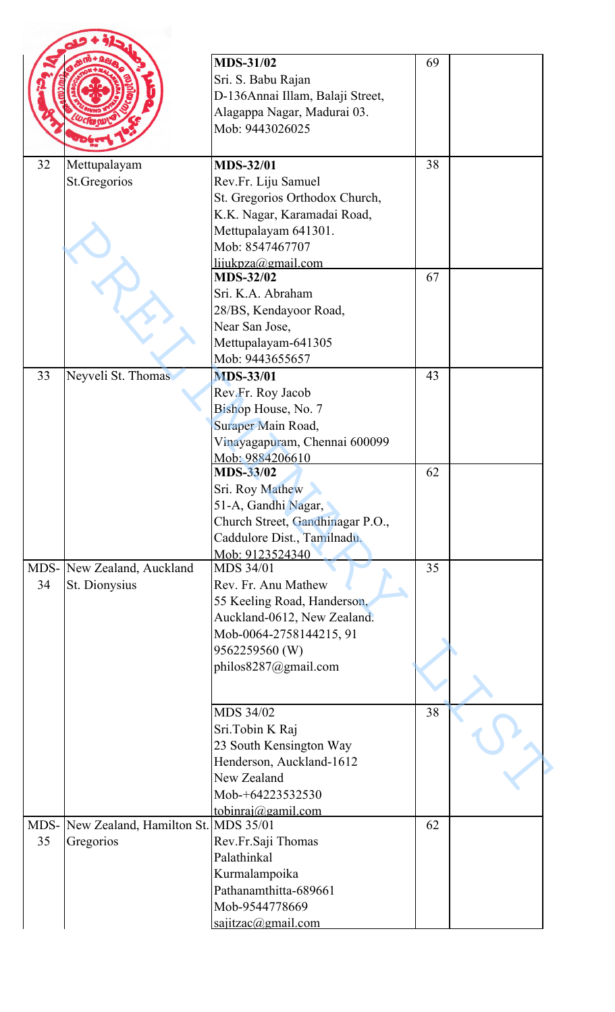|    |                                          | <b>MDS-31/02</b>                    | 69 |  |
|----|------------------------------------------|-------------------------------------|----|--|
|    |                                          | Sri. S. Babu Rajan                  |    |  |
|    |                                          | D-136Annai Illam, Balaji Street,    |    |  |
|    |                                          | Alagappa Nagar, Madurai 03.         |    |  |
|    |                                          | Mob: 9443026025                     |    |  |
|    |                                          |                                     |    |  |
| 32 | Mettupalayam                             | <b>MDS-32/01</b>                    | 38 |  |
|    | St.Gregorios                             | Rev.Fr. Liju Samuel                 |    |  |
|    |                                          | St. Gregorios Orthodox Church,      |    |  |
|    |                                          | K.K. Nagar, Karamadai Road,         |    |  |
|    |                                          | Mettupalayam 641301.                |    |  |
|    |                                          | Mob: 8547467707                     |    |  |
|    |                                          | lijukpza@gmail.com                  |    |  |
|    |                                          | <b>MDS-32/02</b>                    | 67 |  |
|    |                                          | Sri. K.A. Abraham                   |    |  |
|    |                                          | 28/BS, Kendayoor Road,              |    |  |
|    |                                          | Near San Jose,                      |    |  |
|    |                                          | Mettupalayam-641305                 |    |  |
|    |                                          | Mob: 9443655657                     |    |  |
| 33 | Neyveli St. Thomas                       | <b>MDS-33/01</b>                    | 43 |  |
|    |                                          | Rev.Fr. Roy Jacob                   |    |  |
|    |                                          | Bishop House, No. 7                 |    |  |
|    |                                          | Suraper Main Road,                  |    |  |
|    |                                          | Vinayagapuram, Chennai 600099       |    |  |
|    |                                          | Mob: 9884206610<br><b>MDS-33/02</b> | 62 |  |
|    |                                          | Sri. Roy Mathew                     |    |  |
|    |                                          | 51-A, Gandhi Nagar,                 |    |  |
|    |                                          | Church Street, Gandhinagar P.O.,    |    |  |
|    |                                          | Caddulore Dist., Tamilnadu.         |    |  |
|    |                                          | Mob: 9123524340                     |    |  |
|    | MDS- New Zealand, Auckland               | <b>MDS 34/01</b>                    | 35 |  |
| 34 | St. Dionysius                            | Rev. Fr. Anu Mathew                 |    |  |
|    |                                          | 55 Keeling Road, Handerson,         |    |  |
|    |                                          | Auckland-0612, New Zealand.         |    |  |
|    |                                          | Mob-0064-2758144215, 91             |    |  |
|    |                                          | 9562259560 (W)                      |    |  |
|    |                                          | philos8287@gmail.com                |    |  |
|    |                                          |                                     |    |  |
|    |                                          | MDS 34/02                           | 38 |  |
|    |                                          | Sri.Tobin K Raj                     |    |  |
|    |                                          | 23 South Kensington Way             |    |  |
|    |                                          | Henderson, Auckland-1612            |    |  |
|    |                                          | New Zealand                         |    |  |
|    |                                          | Mob-+64223532530                    |    |  |
|    |                                          | tobinraj@gamil.com                  |    |  |
|    | MDS- New Zealand, Hamilton St. MDS 35/01 |                                     | 62 |  |
| 35 | Gregorios                                | Rev.Fr.Saji Thomas                  |    |  |
|    |                                          | Palathinkal                         |    |  |
|    |                                          | Kurmalampoika                       |    |  |
|    |                                          | Pathanamthitta-689661               |    |  |
|    |                                          | Mob-9544778669                      |    |  |
|    |                                          | saiitzac@gmail.com                  |    |  |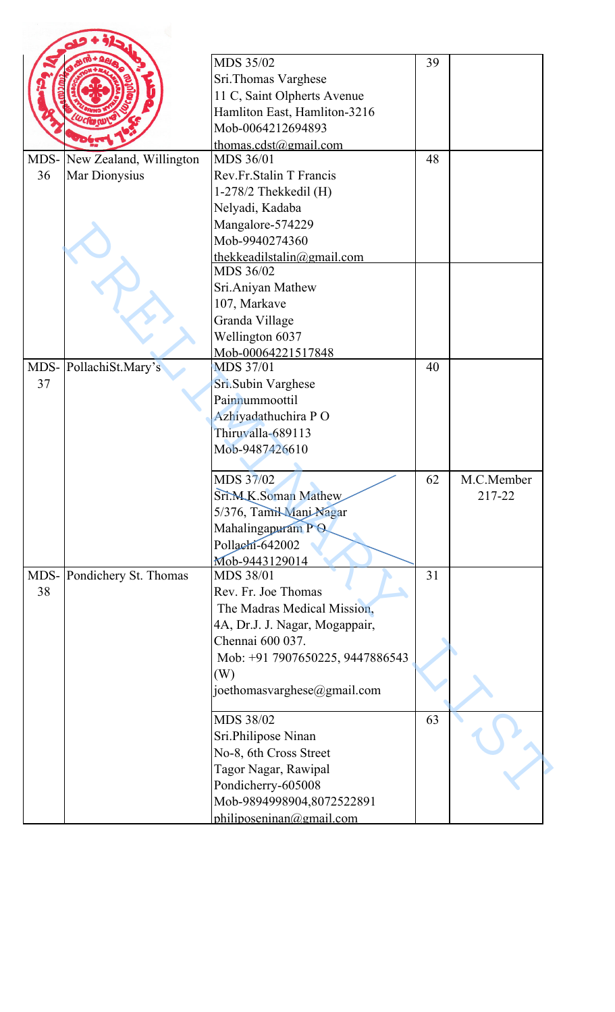|      |                         | MDS 35/02                       | 39 |            |
|------|-------------------------|---------------------------------|----|------------|
|      |                         |                                 |    |            |
|      |                         | Sri.Thomas Varghese             |    |            |
|      |                         | 11 C, Saint Olpherts Avenue     |    |            |
|      |                         | Hamliton East, Hamliton-3216    |    |            |
|      |                         | Mob-0064212694893               |    |            |
|      |                         | thomas.cdst@gmail.com           | 48 |            |
| MDS- | New Zealand, Willington | MDS 36/01                       |    |            |
| 36   | Mar Dionysius           | Rev.Fr.Stalin T Francis         |    |            |
|      |                         | $1-278/2$ Thekkedil (H)         |    |            |
|      |                         | Nelyadi, Kadaba                 |    |            |
|      |                         | Mangalore-574229                |    |            |
|      |                         | Mob-9940274360                  |    |            |
|      |                         | thekkeadilstalin@gmail.com      |    |            |
|      |                         | MDS 36/02                       |    |            |
|      |                         | Sri.Aniyan Mathew               |    |            |
|      |                         | 107, Markave                    |    |            |
|      |                         | Granda Village                  |    |            |
|      |                         | Wellington 6037                 |    |            |
|      |                         | Mob-00064221517848              |    |            |
|      | MDS-PollachiSt.Mary's   | <b>MDS 37/01</b>                | 40 |            |
| 37   |                         | Sri.Subin Varghese              |    |            |
|      |                         | Painnummoottil                  |    |            |
|      |                         | Azhiyadathuchira PO             |    |            |
|      |                         | Thiruvalla-689113               |    |            |
|      |                         | Mob-9487426610                  |    |            |
|      |                         |                                 |    |            |
|      |                         | MDS 37/02                       | 62 | M.C.Member |
|      |                         | Sri.M.K.Soman Mathew            |    | 217-22     |
|      |                         | 5/376, Tamil Mani Nagar         |    |            |
|      |                         |                                 |    |            |
|      |                         | Mahalingapuram PO               |    |            |
|      |                         | Pollachi-642002                 |    |            |
|      |                         | Mob-9443129014                  |    |            |
| MDS- | Pondichery St. Thomas   | MDS 38/01                       | 31 |            |
| 38   |                         | Rev. Fr. Joe Thomas             |    |            |
|      |                         | The Madras Medical Mission,     |    |            |
|      |                         | 4A, Dr.J. J. Nagar, Mogappair,  |    |            |
|      |                         | Chennai 600 037.                |    |            |
|      |                         | Mob: +91 7907650225, 9447886543 |    |            |
|      |                         | (W)                             |    |            |
|      |                         | joethomasvarghese@gmail.com     |    |            |
|      |                         | MDS 38/02                       | 63 |            |
|      |                         |                                 |    |            |
|      |                         | Sri.Philipose Ninan             |    |            |
|      |                         | No-8, 6th Cross Street          |    |            |
|      |                         | Tagor Nagar, Rawipal            |    |            |
|      |                         | Pondicherry-605008              |    |            |
|      |                         | Mob-9894998904,8072522891       |    |            |
|      |                         | philiposeninan@gmail.com        |    |            |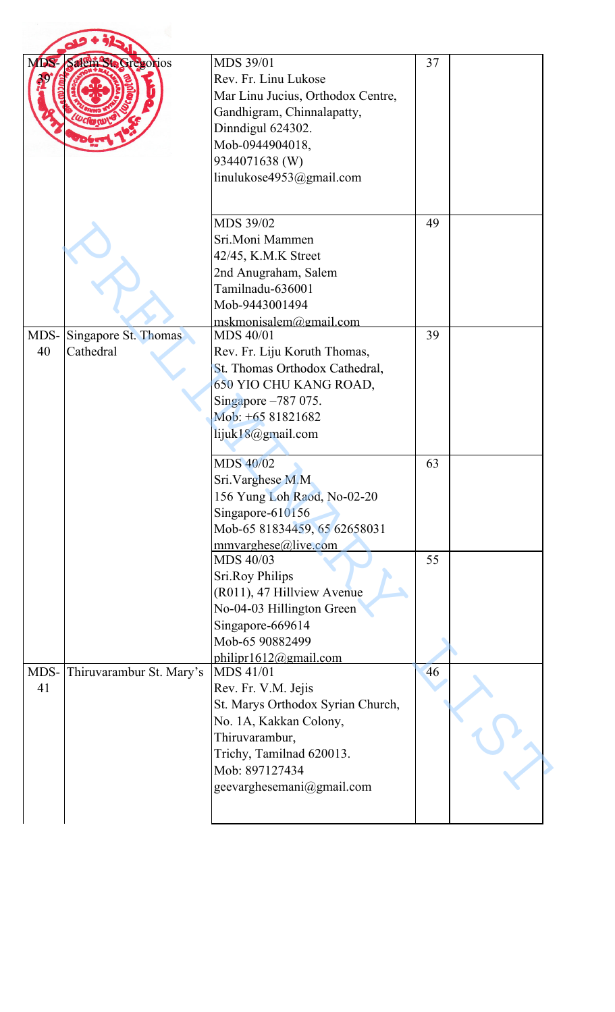| MDS-       | Salem Ste Gregorios               | MDS 39/01<br>Rev. Fr. Linu Lukose<br>Mar Linu Jucius, Orthodox Centre,<br>Gandhigram, Chinnalapatty,<br>Dinndigul 624302.<br>Mob-0944904018,<br>9344071638 (W)<br>linulukose4953@gmail.com                                                                                                                                                                                                                                               | 37             |  |
|------------|-----------------------------------|------------------------------------------------------------------------------------------------------------------------------------------------------------------------------------------------------------------------------------------------------------------------------------------------------------------------------------------------------------------------------------------------------------------------------------------|----------------|--|
|            |                                   | MDS 39/02<br>Sri.Moni Mammen<br>42/45, K.M.K Street<br>2nd Anugraham, Salem<br>Tamilnadu-636001<br>Mob-9443001494                                                                                                                                                                                                                                                                                                                        | 49             |  |
|            |                                   | mskmonisalem@gmail.com                                                                                                                                                                                                                                                                                                                                                                                                                   |                |  |
| MDS-<br>40 | Singapore St. Thomas<br>Cathedral | MDS 40/01<br>Rev. Fr. Liju Koruth Thomas,<br>St. Thomas Orthodox Cathedral,<br>650 YIO CHU KANG ROAD,<br>Singapore -787 075.<br>Mob: +65 81821682<br>lijuk18@gmail.com<br>MDS 40/02<br>Sri. Varghese M.M<br>156 Yung Loh Raod, No-02-20<br>Singapore-610156<br>Mob-65 81834459, 65 62658031<br>mmvarghese@live.com<br>MDS 40/03<br><b>Sri.Roy Philips</b><br>(R011), 47 Hillview Avenue<br>No-04-03 Hillington Green<br>Singapore-669614 | 39<br>63<br>55 |  |
|            |                                   | Mob-65 90882499                                                                                                                                                                                                                                                                                                                                                                                                                          |                |  |
|            |                                   | philipr1612@gmail.com                                                                                                                                                                                                                                                                                                                                                                                                                    |                |  |
| MDS-<br>41 | Thiruvarambur St. Mary's          | <b>MDS 41/01</b><br>Rev. Fr. V.M. Jejis<br>St. Marys Orthodox Syrian Church,<br>No. 1A, Kakkan Colony,<br>Thiruvarambur,<br>Trichy, Tamilnad 620013.<br>Mob: 897127434<br>geevarghesemani@gmail.com                                                                                                                                                                                                                                      | 46             |  |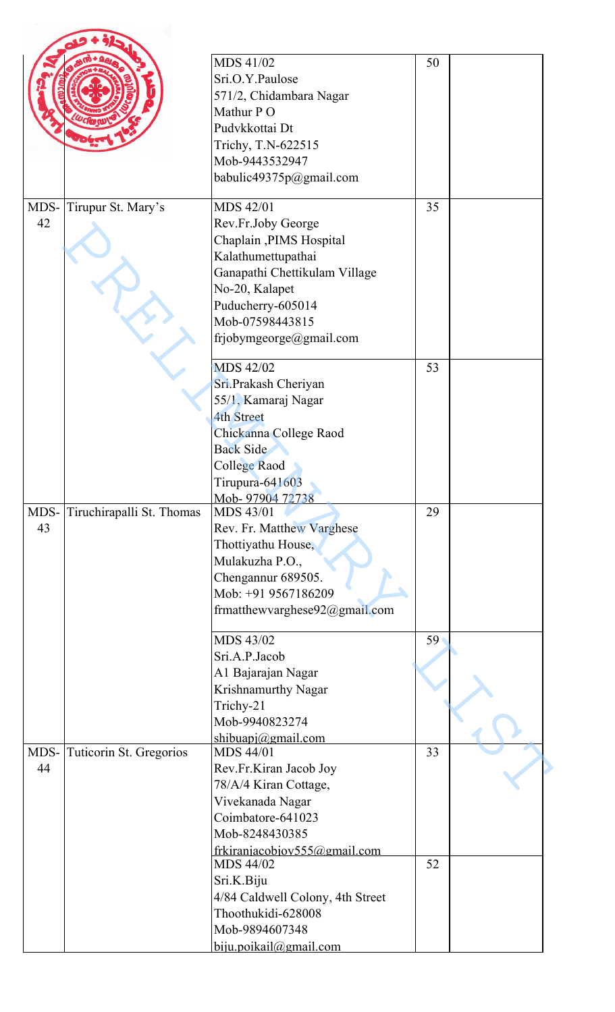|            |                           | MDS 41/02<br>Sri.O.Y.Paulose<br>571/2, Chidambara Nagar<br>Mathur PO<br>Pudvkkottai Dt<br>Trichy, T.N-622515<br>Mob-9443532947<br>babulic49375p@gmail.com                                                     | 50 |  |
|------------|---------------------------|---------------------------------------------------------------------------------------------------------------------------------------------------------------------------------------------------------------|----|--|
| MDS-<br>42 | Tirupur St. Mary's        | <b>MDS 42/01</b><br>Rev.Fr.Joby George<br>Chaplain, PIMS Hospital<br>Kalathumettupathai<br>Ganapathi Chettikulam Village<br>No-20, Kalapet<br>Puducherry-605014<br>Mob-07598443815<br>frjobymgeorge@gmail.com | 35 |  |
|            |                           | <b>MDS 42/02</b><br>Sri.Prakash Cheriyan<br>55/1, Kamaraj Nagar<br><b>4th Street</b><br>Chickanna College Raod<br><b>Back Side</b><br>College Raod<br>Tirupura-641603<br>Mob-97904 72738                      | 53 |  |
| MDS-<br>43 | Tiruchirapalli St. Thomas | MDS 43/01<br>Rev. Fr. Matthew Varghese<br>Thottiyathu House,<br>Mulakuzha P.O.,<br>Chengannur 689505.<br>Mob: +91 9567186209<br>frmatthewvarghese92@gmail.com                                                 | 29 |  |
|            |                           | MDS 43/02<br>Sri.A.P.Jacob<br>A1 Bajarajan Nagar<br>Krishnamurthy Nagar<br>Trichy-21<br>Mob-9940823274<br>shibuapi@gmail.com                                                                                  | 59 |  |
| MDS-<br>44 | Tuticorin St. Gregorios   | <b>MDS 44/01</b><br>Rev.Fr.Kiran Jacob Joy<br>78/A/4 Kiran Cottage,<br>Vivekanada Nagar<br>Coimbatore-641023<br>Mob-8248430385<br>frkiranjacobjov555@gmail.com                                                | 33 |  |
|            |                           | MDS 44/02<br>Sri.K.Biju<br>4/84 Caldwell Colony, 4th Street<br>Thoothukidi-628008<br>Mob-9894607348<br>$b$ iju.poikail@gmail.com                                                                              | 52 |  |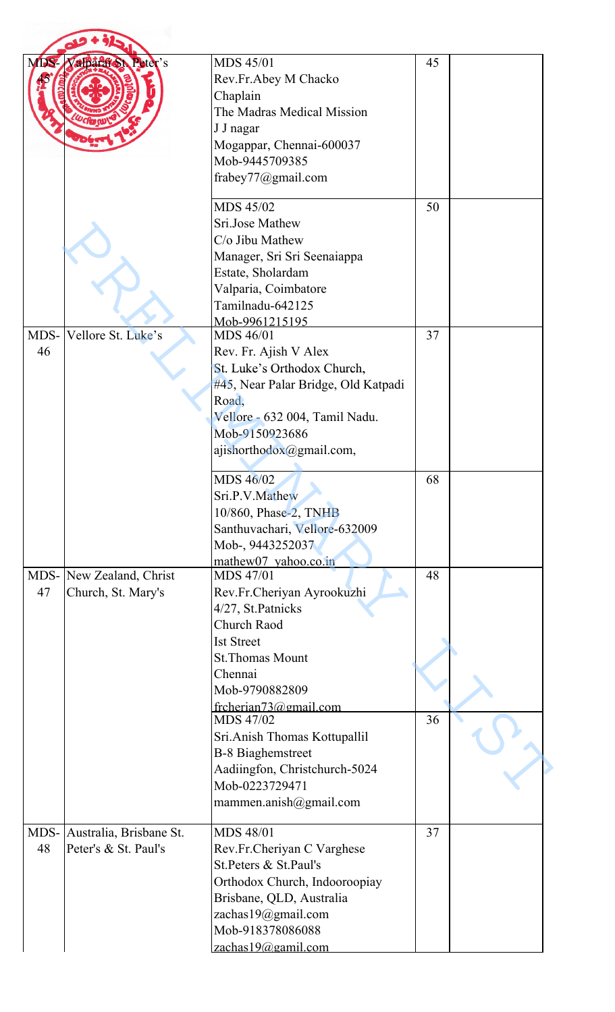| MDS. | Valparaton Peter's           | <b>MDS 45/01</b>                    | 45 |  |
|------|------------------------------|-------------------------------------|----|--|
|      |                              | Rev.Fr.Abey M Chacko                |    |  |
|      |                              | Chaplain                            |    |  |
|      |                              | The Madras Medical Mission          |    |  |
|      |                              | J J nagar                           |    |  |
|      |                              | Mogappar, Chennai-600037            |    |  |
|      |                              | Mob-9445709385                      |    |  |
|      |                              |                                     |    |  |
|      |                              | frabey77@gmail.com                  |    |  |
|      |                              | MDS 45/02                           | 50 |  |
|      |                              | Sri.Jose Mathew                     |    |  |
|      |                              | $C/O$ Jibu Mathew                   |    |  |
|      |                              | Manager, Sri Sri Seenaiappa         |    |  |
|      |                              | Estate, Sholardam                   |    |  |
|      |                              |                                     |    |  |
|      |                              | Valparia, Coimbatore                |    |  |
|      |                              | Tamilnadu-642125                    |    |  |
| MDS- | Vellore St. Luke's           | Mob-9961215195<br><b>MDS 46/01</b>  | 37 |  |
| 46   |                              |                                     |    |  |
|      |                              | Rev. Fr. Ajish V Alex               |    |  |
|      |                              | St. Luke's Orthodox Church,         |    |  |
|      |                              | #45, Near Palar Bridge, Old Katpadi |    |  |
|      |                              | Road,                               |    |  |
|      |                              | Vellore - 632 004, Tamil Nadu.      |    |  |
|      |                              | Mob-9150923686                      |    |  |
|      |                              | ajishorthodox@gmail.com,            |    |  |
|      |                              | MDS 46/02                           | 68 |  |
|      |                              | Sri.P.V.Mathew                      |    |  |
|      |                              | 10/860, Phase-2, TNHB               |    |  |
|      |                              | Santhuvachari, Vellore-632009       |    |  |
|      |                              | Mob-, 9443252037                    |    |  |
|      |                              | mathew07 yahoo.co.in                |    |  |
|      | MDS- New Zealand, Christ     | <b>MDS 47/01</b>                    | 48 |  |
| 47   | Church, St. Mary's           | Rev.Fr.Cheriyan Ayrookuzhi          |    |  |
|      |                              | 4/27, St.Patnicks                   |    |  |
|      |                              | Church Raod                         |    |  |
|      |                              | <b>Ist Street</b>                   |    |  |
|      |                              | <b>St.Thomas Mount</b>              |    |  |
|      |                              | Chennai                             |    |  |
|      |                              | Mob-9790882809                      |    |  |
|      |                              | frcherian73@gmail.com               |    |  |
|      |                              | MDS 47/02                           | 36 |  |
|      |                              | Sri. Anish Thomas Kottupallil       |    |  |
|      |                              | <b>B-8 Biaghemstreet</b>            |    |  |
|      |                              | Aadiingfon, Christchurch-5024       |    |  |
|      |                              | Mob-0223729471                      |    |  |
|      |                              | mammen.anish@gmail.com              |    |  |
|      |                              |                                     |    |  |
|      | MDS- Australia, Brisbane St. | <b>MDS 48/01</b>                    | 37 |  |
| 48   | Peter's & St. Paul's         | Rev.Fr.Cheriyan C Varghese          |    |  |
|      |                              | St.Peters & St.Paul's               |    |  |
|      |                              | Orthodox Church, Indooroopiay       |    |  |
|      |                              | Brisbane, QLD, Australia            |    |  |
|      |                              | zachas19@gmail.com                  |    |  |
|      |                              | Mob-918378086088                    |    |  |
|      |                              | zachas19@gamil.com                  |    |  |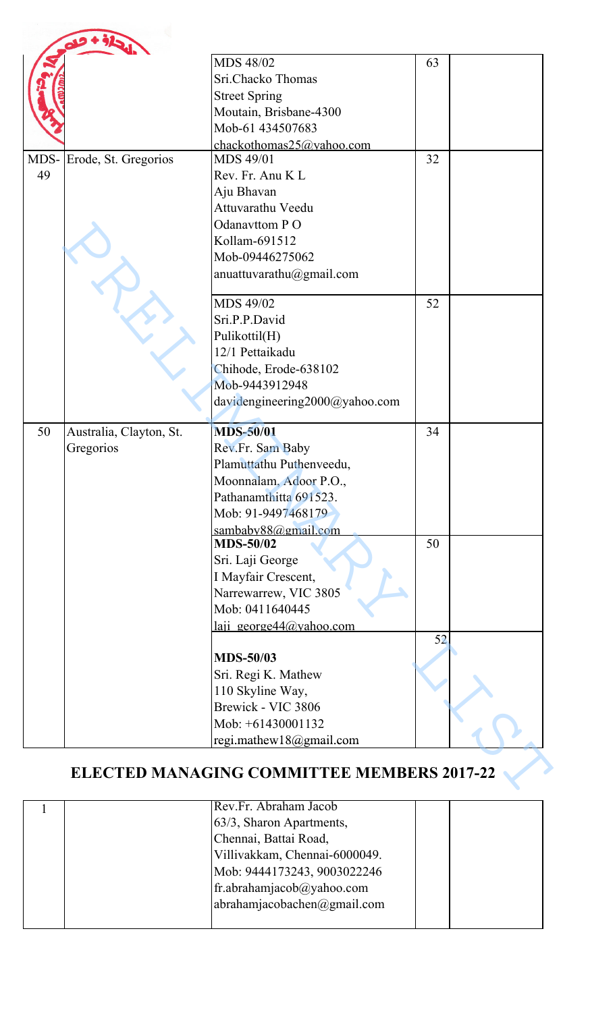|      |                         | MDS 48/02                                         | 63 |  |
|------|-------------------------|---------------------------------------------------|----|--|
|      |                         | Sri.Chacko Thomas                                 |    |  |
|      |                         | <b>Street Spring</b>                              |    |  |
|      |                         | Moutain, Brisbane-4300                            |    |  |
|      |                         | Mob-61 434507683                                  |    |  |
|      |                         | chackothomas25@yahoo.com                          |    |  |
| MDS- | Erode, St. Gregorios    | <b>MDS 49/01</b>                                  | 32 |  |
| 49   |                         | Rev. Fr. Anu K L                                  |    |  |
|      |                         | Aju Bhavan                                        |    |  |
|      |                         | Attuvarathu Veedu                                 |    |  |
|      |                         | Odanavttom PO                                     |    |  |
|      |                         | Kollam-691512                                     |    |  |
|      |                         | Mob-09446275062                                   |    |  |
|      |                         | anuattuvarathu@gmail.com                          |    |  |
|      |                         | MDS 49/02                                         |    |  |
|      |                         |                                                   | 52 |  |
|      |                         | Sri.P.P.David                                     |    |  |
|      |                         | Pulikottil(H)<br>12/1 Pettaikadu                  |    |  |
|      |                         |                                                   |    |  |
|      |                         | Chihode, Erode-638102<br>Mob-9443912948           |    |  |
|      |                         | davidengineering2000@yahoo.com                    |    |  |
|      |                         |                                                   |    |  |
| 50   | Australia, Clayton, St. | <b>MDS-50/01</b>                                  | 34 |  |
|      | Gregorios               | Rev.Fr. Sam Baby                                  |    |  |
|      |                         | Plamuttathu Puthenveedu,                          |    |  |
|      |                         | Moonnalam, Adoor P.O.,                            |    |  |
|      |                         | Pathanamthitta 691523.                            |    |  |
|      |                         | Mob: 91-9497468179                                |    |  |
|      |                         | sambaby88@gmail.com                               |    |  |
|      |                         | <b>MDS-50/02</b>                                  | 50 |  |
|      |                         | Sri. Laji George                                  |    |  |
|      |                         | I Mayfair Crescent,                               |    |  |
|      |                         | Narrewarrew, VIC 3805                             |    |  |
|      |                         | Mob: 0411640445                                   |    |  |
|      |                         | laji george $44$ @yahoo.com                       | 52 |  |
|      |                         | <b>MDS-50/03</b>                                  |    |  |
|      |                         | Sri. Regi K. Mathew                               |    |  |
|      |                         | 110 Skyline Way,                                  |    |  |
|      |                         | Brewick - VIC 3806                                |    |  |
|      |                         | Mob: +61430001132                                 |    |  |
|      |                         | regi.mathew18@gmail.com                           |    |  |
|      |                         | <b>ELECTED MANAGING COMMITTEE MEMBERS 2017-22</b> |    |  |

| Rev.Fr. Abraham Jacob                         |  |
|-----------------------------------------------|--|
| 63/3, Sharon Apartments,                      |  |
| Chennai, Battai Road,                         |  |
| Villivakkam, Chennai-6000049.                 |  |
| Mob: 9444173243, 9003022246                   |  |
| fr.abrahamjacob $\omega$ yahoo.com            |  |
| $\alpha$ abrahamjacobachen $\alpha$ gmail.com |  |
|                                               |  |